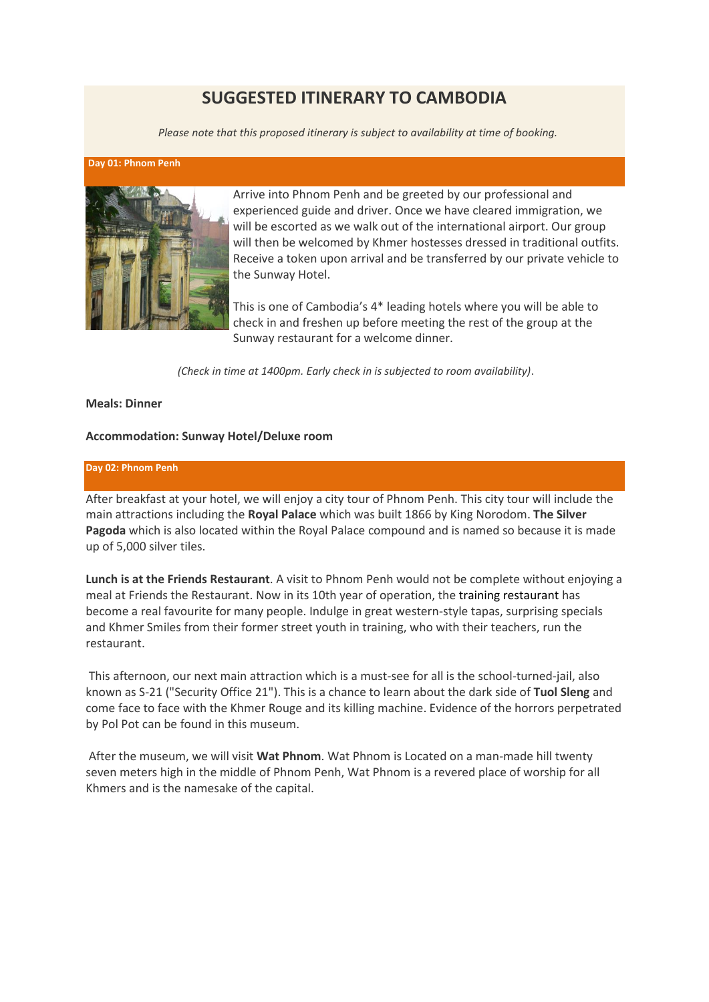# **SUGGESTED ITINERARY TO CAMBODIA**

*Please note that this proposed itinerary is subject to availability at time of booking.*

#### **Day 01: Phnom Penh**



Arrive into Phnom Penh and be greeted by our professional and experienced guide and driver. Once we have cleared immigration, we will be escorted as we walk out of the international airport. Our group will then be welcomed by Khmer hostesses dressed in traditional outfits. Receive a token upon arrival and be transferred by our private vehicle to the Sunway Hotel.

This is one of Cambodia's 4\* leading hotels where you will be able to check in and freshen up before meeting the rest of the group at the Sunway restaurant for a welcome dinner.

*(Check in time at 1400pm. Early check in is subjected to room availability)*.

## **Meals: Dinner**

# **Accommodation: Sunway Hotel/Deluxe room**

## **Day 02: Phnom Penh**

After breakfast at your hotel, we will enjoy a city tour of Phnom Penh. This city tour will include the main attractions including the **Royal Palace** which was built 1866 by King Norodom. **The Silver Pagoda** which is also located within the Royal Palace compound and is named so because it is made up of 5,000 silver tiles.

**Lunch is at the Friends Restaurant**. A visit to Phnom Penh would not be complete without enjoying a meal at Friends the Restaurant. Now in its 10th year of operation, the [training restaurant](http://www.friends-international.org/ourprojects/hospitality.asp?mainmenu=ourprojects&page=fsb) has become a real favourite for many people. Indulge in great western-style tapas, surprising specials and Khmer Smiles from their former street youth in training, who with their teachers, run the restaurant.

This afternoon, our next main attraction which is a must-see for all is the school-turned-jail, also known as S-21 ("Security Office 21"). This is a chance to learn about the dark side of **Tuol Sleng** and come face to face with the Khmer Rouge and its killing machine. Evidence of the horrors perpetrated by Pol Pot can be found in this museum.

After the museum, we will visit **Wat Phnom**. Wat Phnom is Located on a man-made hill twenty seven meters high in the middle of Phnom Penh, Wat Phnom is a revered place of worship for all Khmers and is the namesake of the capital.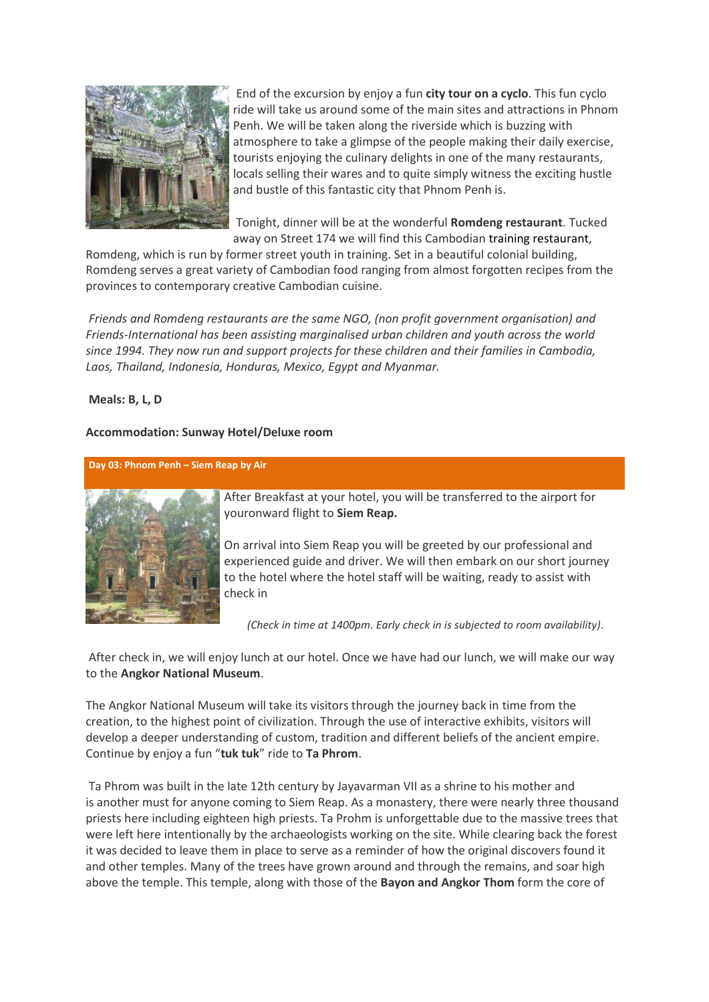

End of the excursion by enjoy a fun **city tour on a cyclo**. This fun cyclo ride will take us around some of the main sites and attractions in Phnom Penh. We will be taken along the riverside which is buzzing with atmosphere to take a glimpse of the people making their daily exercise, tourists enjoying the culinary delights in one of the many restaurants, locals selling their wares and to quite simply witness the exciting hustle and bustle of this fantastic city that Phnom Penh is.

Tonight, dinner will be at the wonderful **Romdeng restaurant**. Tucked away on Street 174 we will find this Cambodian [training restaurant,](http://www.friends-international.org/ourprojects/hospitality.asp?mainmenu=ourprojects&page=fsb)

Romdeng, which is run by former street youth in training. Set in a beautiful colonial building, Romdeng serves a great variety of Cambodian food ranging from almost forgotten recipes from the provinces to contemporary creative Cambodian cuisine.

*Friends and Romdeng restaurants are the same NGO, (non profit government organisation) and Friends-International has been assisting marginalised urban children and youth across the world since 1994. They now run and support projects for these children and their families in Cambodia, Laos, Thailand, Indonesia, Honduras, Mexico, Egypt and Myanmar.*

# **Meals: B, L, D**

# **Accommodation: Sunway Hotel/Deluxe room**

**Day 03: Phnom Penh – Siem Reap by Air**



After Breakfast at your hotel, you will be transferred to the airport for youronward flight to **Siem Reap.**

On arrival into Siem Reap you will be greeted by our professional and experienced guide and driver. We will then embark on our short journey to the hotel where the hotel staff will be waiting, ready to assist with check in

*(Check in time at 1400pm. Early check in is subjected to room availability)*.

After check in, we will enjoy lunch at our hotel. Once we have had our lunch, we will make our way to the **Angkor National Museum**.

The Angkor National Museum will take its visitors through the journey back in time from the creation, to the highest point of civilization. Through the use of interactive exhibits, visitors will develop a deeper understanding of custom, tradition and different beliefs of the ancient empire. Continue by enjoy a fun "**tuk tuk**" ride to **Ta Phrom**.

Ta Phrom was built in the late 12th century by Jayavarman VII as a shrine to his mother and is another must for anyone coming to Siem Reap. As a monastery, there were nearly three thousand priests here including eighteen high priests. Ta Prohm is unforgettable due to the massive trees that were left here intentionally by the archaeologists working on the site. While clearing back the forest it was decided to leave them in place to serve as a reminder of how the original discovers found it and other temples. Many of the trees have grown around and through the remains, and soar high above the temple. This temple, along with those of the **Bayon and Angkor Thom** form the core of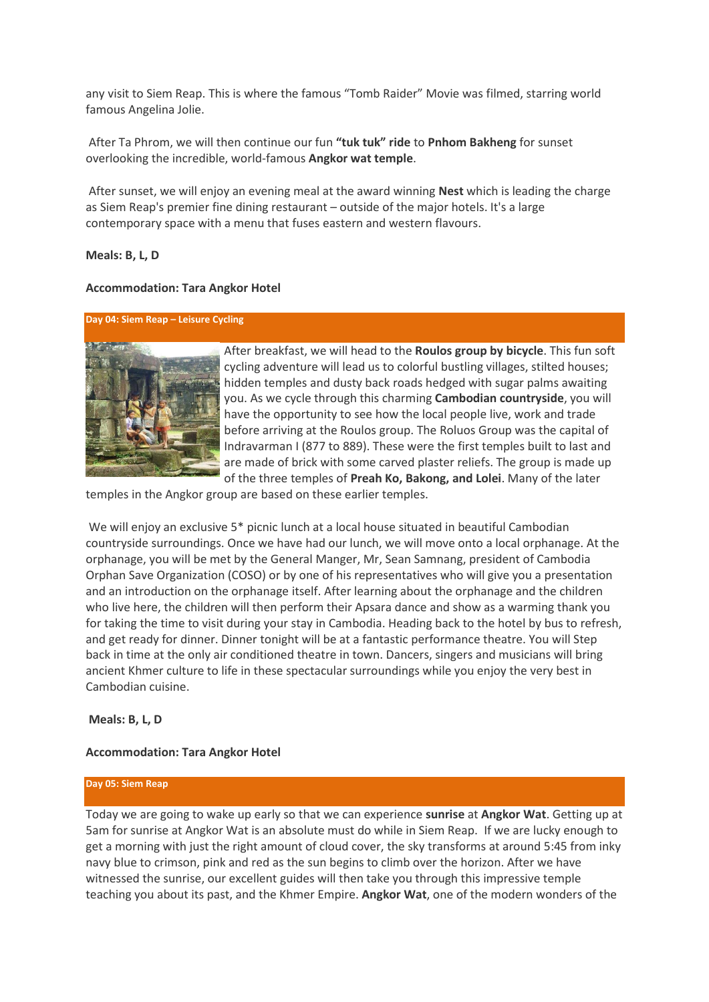any visit to Siem Reap. This is where the famous "Tomb Raider" Movie was filmed, starring world famous Angelina Jolie.

After Ta Phrom, we will then continue our fun **"tuk tuk" ride** to **Pnhom Bakheng** for sunset overlooking the incredible, world-famous **Angkor wat temple**.

After sunset, we will enjoy an evening meal at the award winning **Nest** which is leading the charge as Siem Reap's premier fine dining restaurant – outside of the major hotels. It's a large contemporary space with a menu that fuses eastern and western flavours.

## **Meals: B, L, D**

#### **Accommodation: Tara Angkor Hotel**

## **Day 04: Siem Reap – Leisure Cycling**



After breakfast, we will head to the **Roulos group by bicycle**. This fun soft cycling adventure will lead us to colorful bustling villages, stilted houses; hidden temples and dusty back roads hedged with sugar palms awaiting you. As we cycle through this charming **Cambodian countryside**, you will have the opportunity to see how the local people live, work and trade before arriving at the Roulos group. The Roluos Group was the capital of Indravarman I (877 to 889). These were the first temples built to last and are made of brick with some carved plaster reliefs. The group is made up of the three temples of **Preah Ko, Bakong, and Lolei**. Many of the later

temples in the Angkor group are based on these earlier temples.

We will enjoy an exclusive 5\* picnic lunch at a local house situated in beautiful Cambodian countryside surroundings. Once we have had our lunch, we will move onto a local orphanage. At the orphanage, you will be met by the General Manger, Mr, Sean Samnang, president of Cambodia Orphan Save Organization (COSO) or by one of his representatives who will give you a presentation and an introduction on the orphanage itself. After learning about the orphanage and the children who live here, the children will then perform their Apsara dance and show as a warming thank you for taking the time to visit during your stay in Cambodia. Heading back to the hotel by bus to refresh, and get ready for dinner. Dinner tonight will be at a fantastic performance theatre. You will Step back in time at the only air conditioned theatre in town. Dancers, singers and musicians will bring ancient Khmer culture to life in these spectacular surroundings while you enjoy the very best in Cambodian cuisine.

#### **Meals: B, L, D**

## **Accommodation: Tara Angkor Hotel**

#### **Day 05: Siem Reap**

Today we are going to wake up early so that we can experience **sunrise** at **Angkor Wat**. Getting up at 5am for sunrise at Angkor Wat is an absolute must do while in Siem Reap. If we are lucky enough to get a morning with just the right amount of cloud cover, the sky transforms at around 5:45 from inky navy blue to crimson, pink and red as the sun begins to climb over the horizon. After we have witnessed the sunrise, our excellent guides will then take you through this impressive temple teaching you about its past, and the Khmer Empire. **Angkor Wat**, one of the modern wonders of the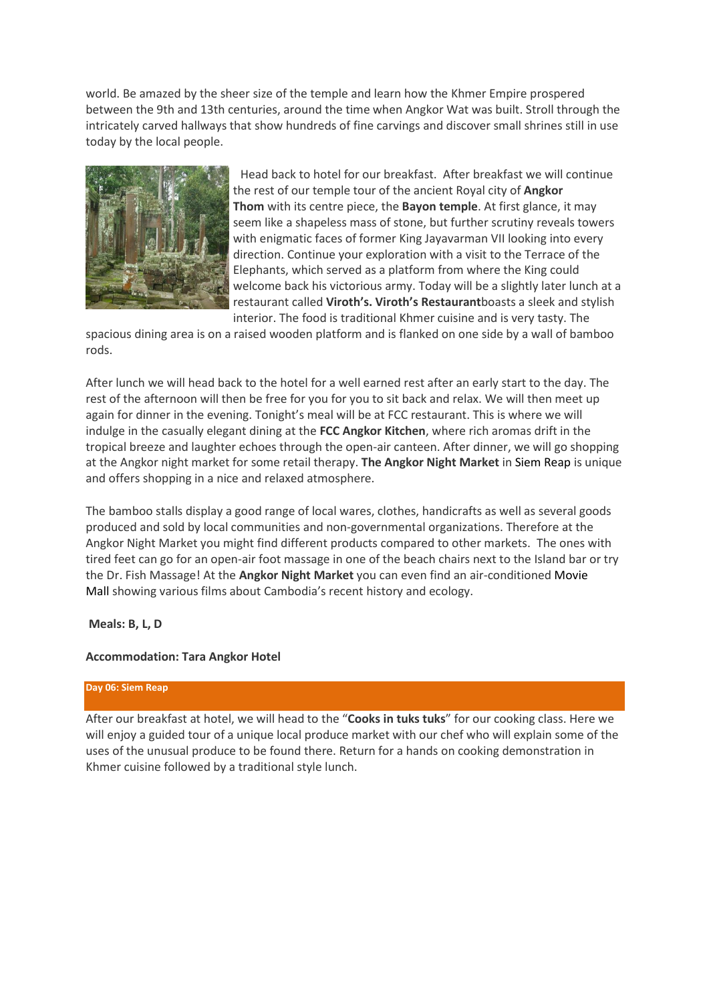world. Be amazed by the sheer size of the temple and learn how the Khmer Empire prospered between the 9th and 13th centuries, around the time when Angkor Wat was built. Stroll through the intricately carved hallways that show hundreds of fine carvings and discover small shrines still in use today by the local people.



Head back to hotel for our breakfast. After breakfast we will continue the rest of our temple tour of the ancient Royal city of **Angkor Thom** with its centre piece, the **Bayon temple**. At first glance, it may seem like a shapeless mass of stone, but further scrutiny reveals towers with enigmatic faces of former King Jayavarman VII looking into every direction. Continue your exploration with a visit to the Terrace of the Elephants, which served as a platform from where the King could welcome back his victorious army. Today will be a slightly later lunch at a restaurant called **Viroth's. Viroth's Restaurant**boasts a sleek and stylish interior. The food is traditional Khmer cuisine and is very tasty. The

spacious dining area is on a raised wooden platform and is flanked on one side by a wall of bamboo rods.

After lunch we will head back to the hotel for a well earned rest after an early start to the day. The rest of the afternoon will then be free for you for you to sit back and relax. We will then meet up again for dinner in the evening. Tonight's meal will be at FCC restaurant. This is where we will indulge in the casually elegant dining at the **FCC Angkor Kitchen**, where rich aromas drift in the tropical breeze and laughter echoes through the open-air canteen. After dinner, we will go shopping at the Angkor night market for some retail therapy. **The Angkor Night Market** in [Siem Reap](http://www.globaltravelmate.com/asia/cambodia/siem-reap) is unique and offers shopping in a nice and relaxed atmosphere.

The bamboo stalls display a good range of local wares, clothes, handicrafts as well as several goods produced and sold by local communities and non-governmental organizations. Therefore at the Angkor Night Market you might find different products compared to other markets. The ones with tired feet can go for an open-air foot massage in one of the beach chairs next to the Island bar or try the Dr. Fish Massage! At the **Angkor Night Market** you can even find an air-conditioned [Movie](http://www.globaltravelmate.com/asia/cambodia/siem-reap/siem-reap-entertainment/787-siem-reap-movie-mall.html)  [Mall](http://www.globaltravelmate.com/asia/cambodia/siem-reap/siem-reap-entertainment/787-siem-reap-movie-mall.html) showing various films about Cambodia's recent history and ecology.

#### **Meals: B, L, D**

#### **Accommodation: Tara Angkor Hotel**

## **Day 06: Siem Reap**

After our breakfast at hotel, we will head to the "**Cooks in tuks tuks**" for our cooking class. Here we will enjoy a guided tour of a unique local produce market with our chef who will explain some of the uses of the unusual produce to be found there. Return for a hands on cooking demonstration in Khmer cuisine followed by a traditional style lunch.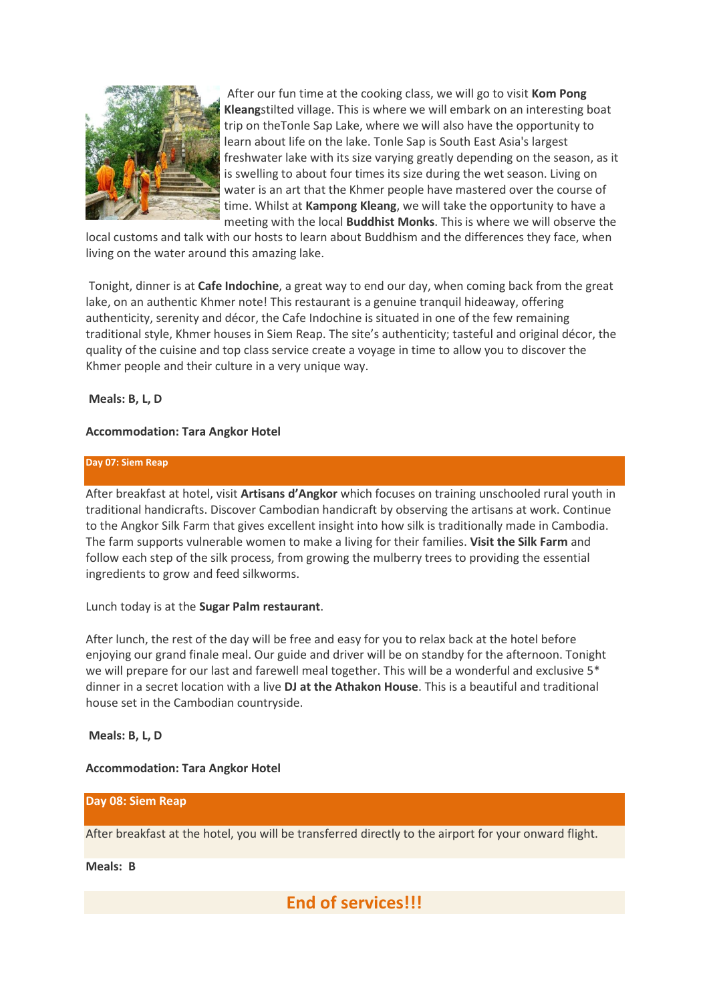

After our fun time at the cooking class, we will go to visit **Kom Pong Kleang**stilted village. This is where we will embark on an interesting boat trip on theTonle Sap Lake, where we will also have the opportunity to learn about life on the lake. Tonle Sap is South East Asia's largest freshwater lake with its size varying greatly depending on the season, as it is swelling to about four times its size during the wet season. Living on water is an art that the Khmer people have mastered over the course of time. Whilst at **Kampong Kleang**, we will take the opportunity to have a meeting with the local **Buddhist Monks**. This is where we will observe the

local customs and talk with our hosts to learn about Buddhism and the differences they face, when living on the water around this amazing lake.

Tonight, dinner is at **Cafe Indochine**, a great way to end our day, when coming back from the great lake, on an authentic Khmer note! This restaurant is a genuine tranquil hideaway, offering authenticity, serenity and décor, the Cafe Indochine is situated in one of the few remaining traditional style, Khmer houses in Siem Reap. The site's authenticity; tasteful and original décor, the quality of the cuisine and top class service create a voyage in time to allow you to discover the Khmer people and their culture in a very unique way.

# **Meals: B, L, D**

# **Accommodation: Tara Angkor Hotel**

## **Day 07: Siem Reap**

After breakfast at hotel, visit **Artisans d'Angkor** which focuses on training unschooled rural youth in traditional handicrafts. Discover Cambodian handicraft by observing the artisans at work. Continue to the Angkor Silk Farm that gives excellent insight into how silk is traditionally made in Cambodia. The farm supports vulnerable women to make a living for their families. **Visit the Silk Farm** and follow each step of the silk process, from growing the mulberry trees to providing the essential ingredients to grow and feed silkworms.

# Lunch today is at the **Sugar Palm restaurant**.

After lunch, the rest of the day will be free and easy for you to relax back at the hotel before enjoying our grand finale meal. Our guide and driver will be on standby for the afternoon. Tonight we will prepare for our last and farewell meal together. This will be a wonderful and exclusive 5<sup>\*</sup> dinner in a secret location with a live **DJ at the Athakon House**. This is a beautiful and traditional house set in the Cambodian countryside.

# **Meals: B, L, D**

# **Accommodation: Tara Angkor Hotel**

**Day 08: Siem Reap**

After breakfast at the hotel, you will be transferred directly to the airport for your onward flight.

**Meals: B**

**End of services!!!**